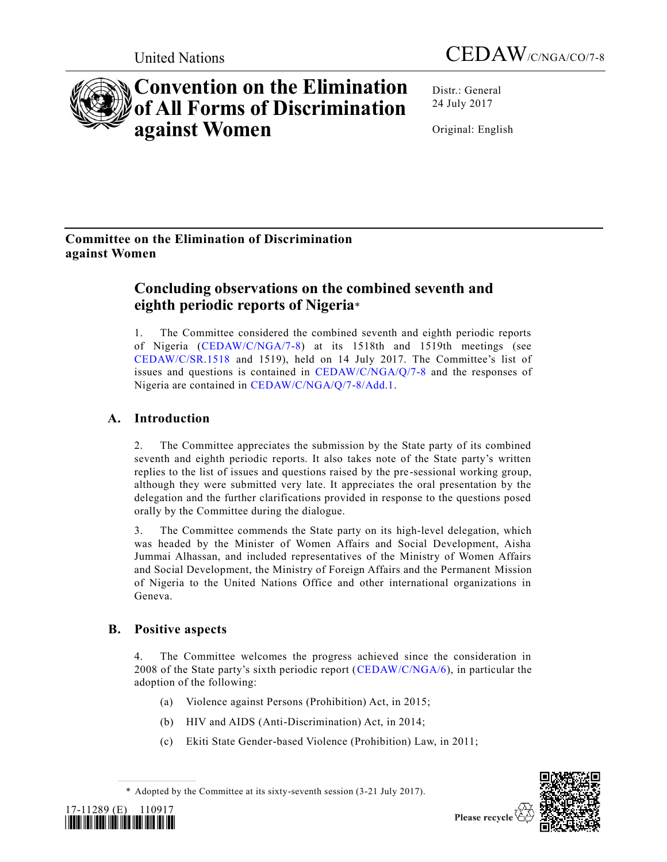



# **Convention on the Elimination of All Forms of Discrimination against Women**

Distr.: General 24 July 2017

Original: English

# **Committee on the Elimination of Discrimination against Women**

# **Concluding observations on the combined seventh and eighth periodic reports of Nigeria**\*

1. The Committee considered the combined seventh and eighth periodic reports of Nigeria [\(CEDAW/C/NGA/7-8\)](https://undocs.org/CEDAW/C/NGA/7) at its 1518th and 1519th meetings (see [CEDAW/C/SR.1518](https://undocs.org/CEDAW/C/SR.1518) and 1519), held on 14 July 2017. The Committee's list of issues and questions is contained in [CEDAW/C/NGA/Q/7-8](https://undocs.org/CEDAW/C/NGA/Q/7) and the responses of Nigeria are contained in [CEDAW/C/NGA/Q/7-8/Add.1.](https://undocs.org/CEDAW/C/NGA/Q/7-8/Add.1)

# **A. Introduction**

2. The Committee appreciates the submission by the State party of its combined seventh and eighth periodic reports. It also takes note of the State party's written replies to the list of issues and questions raised by the pre-sessional working group, although they were submitted very late. It appreciates the oral presentation by the delegation and the further clarifications provided in response to the questions posed orally by the Committee during the dialogue.

3. The Committee commends the State party on its high-level delegation, which was headed by the Minister of Women Affairs and Social Development, Aisha Jummai Alhassan, and included representatives of the Ministry of Women Affairs and Social Development, the Ministry of Foreign Affairs and the Permanent Mission of Nigeria to the United Nations Office and other international organizations in Geneva.

# **B. Positive aspects**

4. The Committee welcomes the progress achieved since the consideration in 2008 of the State party's sixth periodic report [\(CEDAW/C/NGA/6\)](https://undocs.org/CEDAW/C/NGA/6), in particular the adoption of the following:

- (a) Violence against Persons (Prohibition) Act, in 2015;
- (b) HIV and AIDS (Anti-Discrimination) Act, in 2014;
- (c) Ekiti State Gender-based Violence (Prohibition) Law, in 2011;

<sup>\*</sup> Adopted by the Committee at its sixty-seventh session (3-21 July 2017).



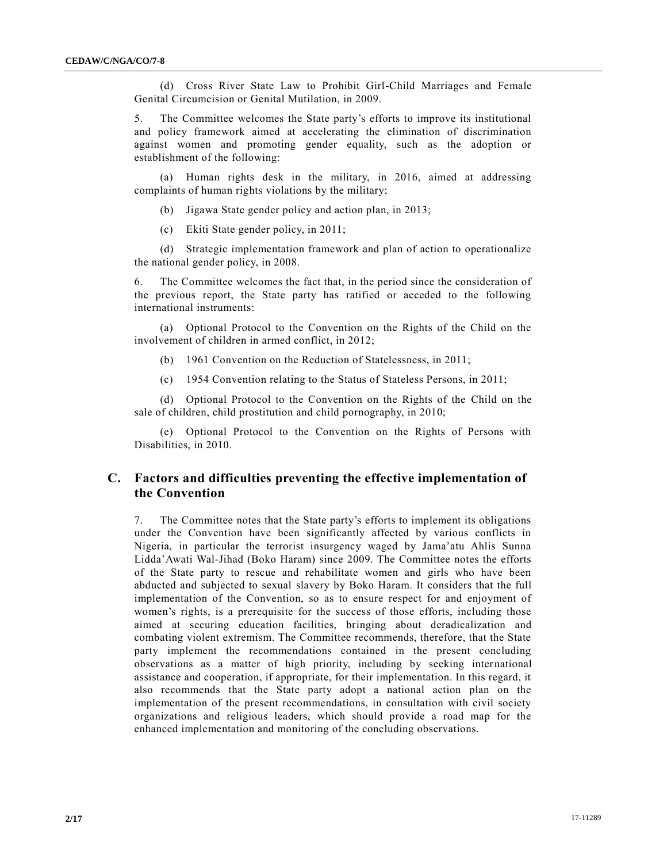(d) Cross River State Law to Prohibit Girl-Child Marriages and Female Genital Circumcision or Genital Mutilation, in 2009.

5. The Committee welcomes the State party's efforts to improve its institutional and policy framework aimed at accelerating the elimination of discrimination against women and promoting gender equality, such as the adoption or establishment of the following:

(a) Human rights desk in the military, in 2016, aimed at addressing complaints of human rights violations by the military;

- (b) Jigawa State gender policy and action plan, in 2013;
- (c) Ekiti State gender policy, in 2011;

(d) Strategic implementation framework and plan of action to operationalize the national gender policy, in 2008.

6. The Committee welcomes the fact that, in the period since the consideration of the previous report, the State party has ratified or acceded to the following international instruments:

(a) Optional Protocol to the Convention on the Rights of the Child on the involvement of children in armed conflict, in 2012;

- (b) 1961 Convention on the Reduction of Statelessness, in 2011;
- (c) 1954 Convention relating to the Status of Stateless Persons, in 2011;

(d) Optional Protocol to the Convention on the Rights of the Child on the sale of children, child prostitution and child pornography, in 2010;

(e) Optional Protocol to the Convention on the Rights of Persons with Disabilities, in 2010.

# **C. Factors and difficulties preventing the effective implementation of the Convention**

7. The Committee notes that the State party's efforts to implement its obligations under the Convention have been significantly affected by various conflicts in Nigeria, in particular the terrorist insurgency waged by Jama'atu Ahlis Sunna Lidda'Awati Wal-Jihad (Boko Haram) since 2009. The Committee notes the efforts of the State party to rescue and rehabilitate women and girls who have been abducted and subjected to sexual slavery by Boko Haram. It considers that the full implementation of the Convention, so as to ensure respect for and enjoyment of women's rights, is a prerequisite for the success of those efforts, including those aimed at securing education facilities, bringing about deradicalization and combating violent extremism. The Committee recommends, therefore, that the State party implement the recommendations contained in the present concluding observations as a matter of high priority, including by seeking international assistance and cooperation, if appropriate, for their implementation. In this regard, it also recommends that the State party adopt a national action plan on the implementation of the present recommendations, in consultation with civil society organizations and religious leaders, which should provide a road map for the enhanced implementation and monitoring of the concluding observations.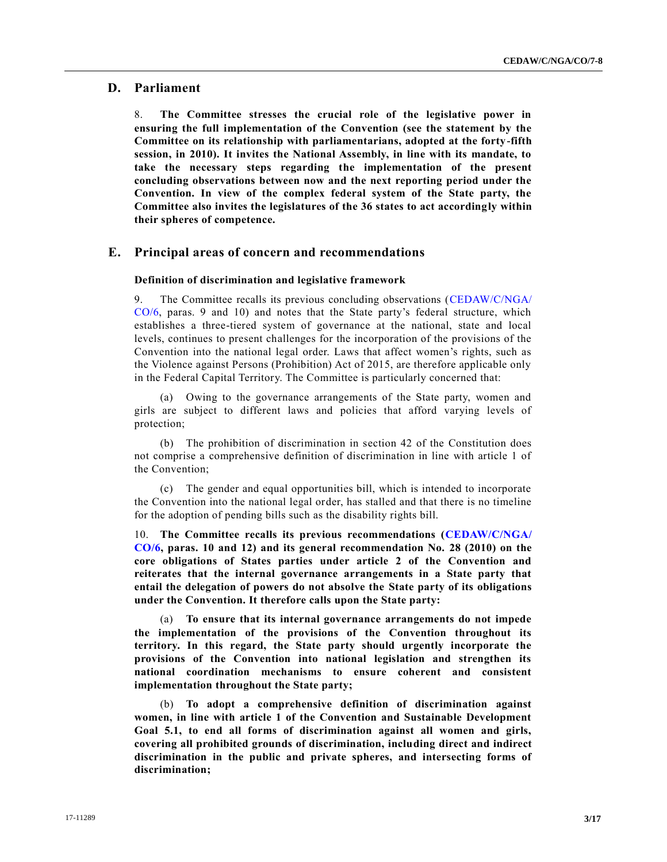# **D. Parliament**

8. **The Committee stresses the crucial role of the legislative power in ensuring the full implementation of the Convention (see the statement by the Committee on its relationship with parliamentarians, adopted at the forty-fifth session, in 2010). It invites the National Assembly, in line with its mandate, to take the necessary steps regarding the implementation of the present concluding observations between now and the next reporting period under the Convention. In view of the complex federal system of the State party, the Committee also invites the legislatures of the 36 states to act accordingly within their spheres of competence.**

# **E. Principal areas of concern and recommendations**

### **Definition of discrimination and legislative framework**

9. The Committee recalls its previous concluding observations [\(CEDAW/C/NGA/](https://undocs.org/CEDAW/C/NGA/CO/6) [CO/6,](https://undocs.org/CEDAW/C/NGA/CO/6) paras. 9 and 10) and notes that the State party's federal structure, which establishes a three-tiered system of governance at the national, state and local levels, continues to present challenges for the incorporation of the provisions of the Convention into the national legal order. Laws that affect women's rights, such as the Violence against Persons (Prohibition) Act of 2015, are therefore applicable only in the Federal Capital Territory. The Committee is particularly concerned that:

(a) Owing to the governance arrangements of the State party, women and girls are subject to different laws and policies that afford varying levels of protection;

(b) The prohibition of discrimination in section 42 of the Constitution does not comprise a comprehensive definition of discrimination in line with article 1 of the Convention;

(c) The gender and equal opportunities bill, which is intended to incorporate the Convention into the national legal order, has stalled and that there is no timeline for the adoption of pending bills such as the disability rights bill.

10. **The Committee recalls its previous recommendations [\(CEDAW/C/NGA/](https://undocs.org/CEDAW/C/NGA/CO/6) [CO/6,](https://undocs.org/CEDAW/C/NGA/CO/6) paras. 10 and 12) and its general recommendation No. 28 (2010) on the core obligations of States parties under article 2 of the Convention and reiterates that the internal governance arrangements in a State party that entail the delegation of powers do not absolve the State party of its obligations under the Convention. It therefore calls upon the State party:**

(a) **To ensure that its internal governance arrangements do not impede the implementation of the provisions of the Convention throughout its territory. In this regard, the State party should urgently incorporate the provisions of the Convention into national legislation and strengthen its national coordination mechanisms to ensure coherent and consistent implementation throughout the State party;**

(b) **To adopt a comprehensive definition of discrimination against women, in line with article 1 of the Convention and Sustainable Development Goal 5.1, to end all forms of discrimination against all women and girls, covering all prohibited grounds of discrimination, including direct and indirect discrimination in the public and private spheres, and intersecting forms of discrimination;**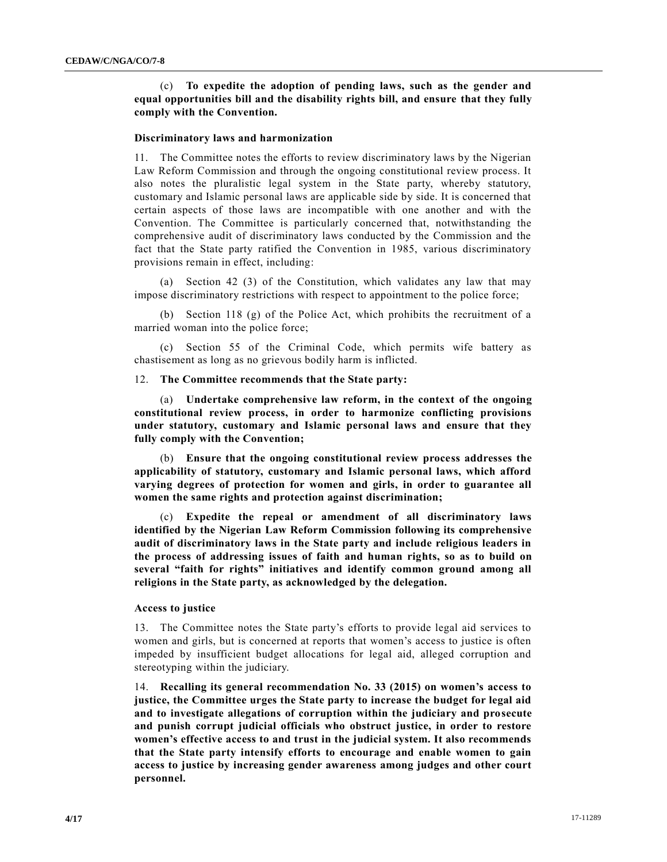(c) **To expedite the adoption of pending laws, such as the gender and equal opportunities bill and the disability rights bill, and ensure that they fully comply with the Convention.**

#### **Discriminatory laws and harmonization**

11. The Committee notes the efforts to review discriminatory laws by the Nigerian Law Reform Commission and through the ongoing constitutional review process. It also notes the pluralistic legal system in the State party, whereby statutory, customary and Islamic personal laws are applicable side by side. It is concerned that certain aspects of those laws are incompatible with one another and with the Convention. The Committee is particularly concerned that, notwithstanding the comprehensive audit of discriminatory laws conducted by the Commission and the fact that the State party ratified the Convention in 1985, various discriminatory provisions remain in effect, including:

(a) Section 42 (3) of the Constitution, which validates any law that may impose discriminatory restrictions with respect to appointment to the police force;

(b) Section 118 (g) of the Police Act, which prohibits the recruitment of a married woman into the police force;

(c) Section 55 of the Criminal Code, which permits wife battery as chastisement as long as no grievous bodily harm is inflicted.

### 12. **The Committee recommends that the State party:**

(a) **Undertake comprehensive law reform, in the context of the ongoing constitutional review process, in order to harmonize conflicting provisions under statutory, customary and Islamic personal laws and ensure that they fully comply with the Convention;**

(b) **Ensure that the ongoing constitutional review process addresses the applicability of statutory, customary and Islamic personal laws, which afford varying degrees of protection for women and girls, in order to guarantee all women the same rights and protection against discrimination;**

(c) **Expedite the repeal or amendment of all discriminatory laws identified by the Nigerian Law Reform Commission following its comprehensive audit of discriminatory laws in the State party and include religious leaders in the process of addressing issues of faith and human rights, so as to build on several "faith for rights" initiatives and identify common ground among all religions in the State party, as acknowledged by the delegation.** 

# **Access to justice**

13. The Committee notes the State party's efforts to provide legal aid services to women and girls, but is concerned at reports that women's access to justice is often impeded by insufficient budget allocations for legal aid, alleged corruption and stereotyping within the judiciary.

14. **Recalling its general recommendation No. 33 (2015) on women's access to justice, the Committee urges the State party to increase the budget for legal aid and to investigate allegations of corruption within the judiciary and prosecute and punish corrupt judicial officials who obstruct justice, in order to restore women's effective access to and trust in the judicial system. It also recommends that the State party intensify efforts to encourage and enable women to gain access to justice by increasing gender awareness among judges and other court personnel.**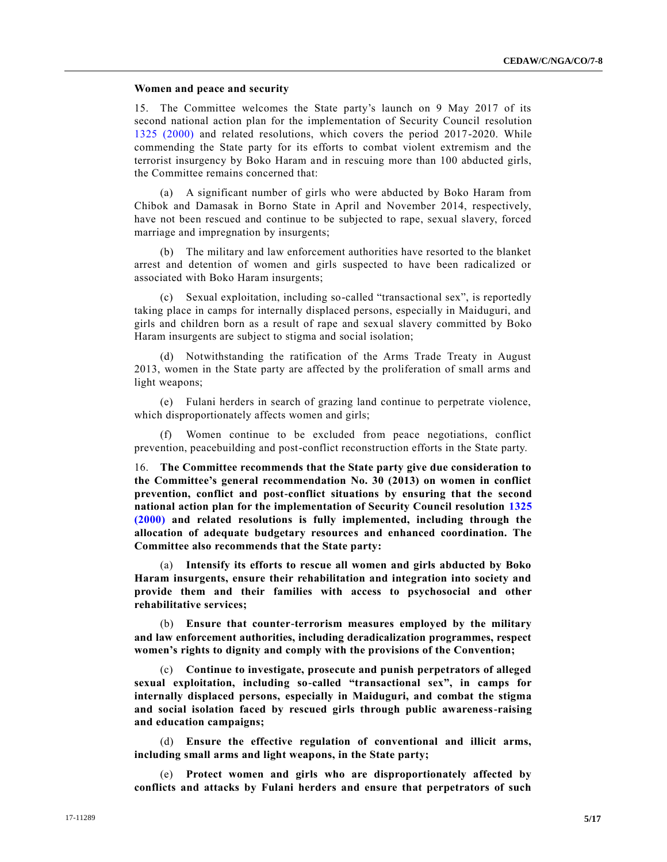### **Women and peace and security**

15. The Committee welcomes the State party's launch on 9 May 2017 of its second national action plan for the implementation of Security Council resolution [1325 \(2000\)](https://undocs.org/S/RES/1325(2000)) and related resolutions, which covers the period 2017-2020. While commending the State party for its efforts to combat violent extremism and the terrorist insurgency by Boko Haram and in rescuing more than 100 abducted girls, the Committee remains concerned that:

(a) A significant number of girls who were abducted by Boko Haram from Chibok and Damasak in Borno State in April and November 2014, respectively, have not been rescued and continue to be subjected to rape, sexual slavery, forced marriage and impregnation by insurgents;

(b) The military and law enforcement authorities have resorted to the blanket arrest and detention of women and girls suspected to have been radicalized or associated with Boko Haram insurgents;

(c) Sexual exploitation, including so-called "transactional sex", is reportedly taking place in camps for internally displaced persons, especially in Maiduguri, and girls and children born as a result of rape and sexual slavery committed by Boko Haram insurgents are subject to stigma and social isolation;

(d) Notwithstanding the ratification of the Arms Trade Treaty in August 2013, women in the State party are affected by the proliferation of small arms and light weapons;

(e) Fulani herders in search of grazing land continue to perpetrate violence, which disproportionately affects women and girls;

Women continue to be excluded from peace negotiations, conflict prevention, peacebuilding and post-conflict reconstruction efforts in the State party.

16. **The Committee recommends that the State party give due consideration to the Committee's general recommendation No. 30 (2013) on women in conflict prevention, conflict and post-conflict situations by ensuring that the second national action plan for the implementation of Security Council resolution [1325](https://undocs.org/S/RES/1325(2000))  [\(2000\)](https://undocs.org/S/RES/1325(2000)) and related resolutions is fully implemented, including through the allocation of adequate budgetary resources and enhanced coordination. The Committee also recommends that the State party:**

(a) **Intensify its efforts to rescue all women and girls abducted by Boko Haram insurgents, ensure their rehabilitation and integration into society and provide them and their families with access to psychosocial and other rehabilitative services;**

(b) **Ensure that counter-terrorism measures employed by the military and law enforcement authorities, including deradicalization programmes, respect women's rights to dignity and comply with the provisions of the Convention;**

(c) **Continue to investigate, prosecute and punish perpetrators of alleged sexual exploitation, including so-called "transactional sex", in camps for internally displaced persons, especially in Maiduguri, and combat the stigma and social isolation faced by rescued girls through public awareness-raising and education campaigns;**

(d) **Ensure the effective regulation of conventional and illicit arms, including small arms and light weapons, in the State party;**

(e) **Protect women and girls who are disproportionately affected by conflicts and attacks by Fulani herders and ensure that perpetrators of such**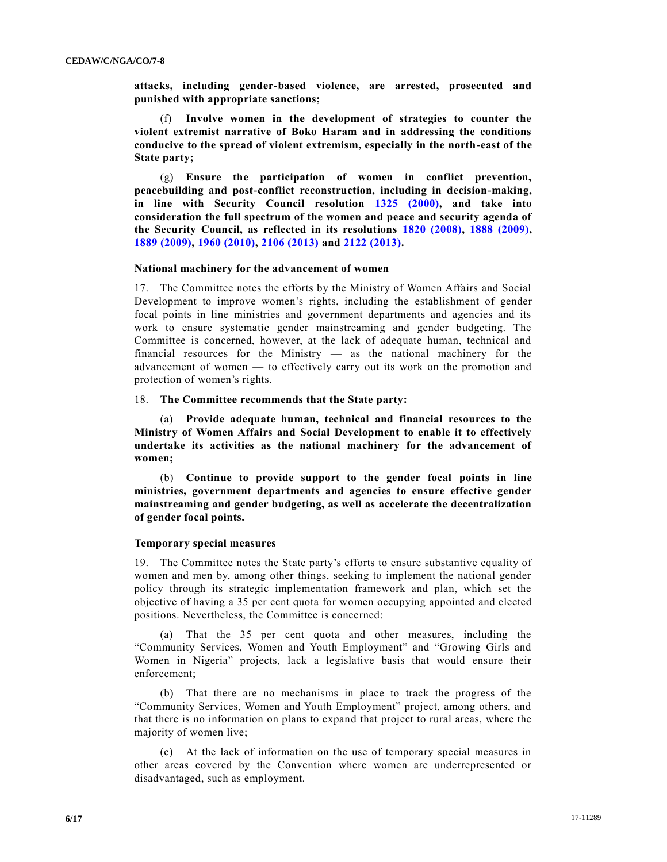**attacks, including gender-based violence, are arrested, prosecuted and punished with appropriate sanctions;**

(f) **Involve women in the development of strategies to counter the violent extremist narrative of Boko Haram and in addressing the conditions conducive to the spread of violent extremism, especially in the north-east of the State party;**

(g) **Ensure the participation of women in conflict prevention, peacebuilding and post-conflict reconstruction, including in decision-making, in line with Security Council resolution [1325 \(2000\),](https://undocs.org/S/RES/1325(2000)) and take into consideration the full spectrum of the women and peace and security agenda of the Security Council, as reflected in its resolutions [1820 \(2008\),](https://undocs.org/S/RES/1820(2008)) [1888 \(2009\),](https://undocs.org/S/RES/1888(2009)) [1889 \(2009\),](https://undocs.org/S/RES/1889(2009)) [1960 \(2010\),](https://undocs.org/S/RES/1960(2010)) [2106 \(2013\)](https://undocs.org/S/RES/2106(2013)) and [2122 \(2013\).](https://undocs.org/S/RES/2122(2013))**

# **National machinery for the advancement of women**

17. The Committee notes the efforts by the Ministry of Women Affairs and Social Development to improve women's rights, including the establishment of gender focal points in line ministries and government departments and agencies and its work to ensure systematic gender mainstreaming and gender budgeting. The Committee is concerned, however, at the lack of adequate human, technical and financial resources for the Ministry — as the national machinery for the advancement of women — to effectively carry out its work on the promotion and protection of women's rights.

### 18. **The Committee recommends that the State party:**

(a) **Provide adequate human, technical and financial resources to the Ministry of Women Affairs and Social Development to enable it to effectively undertake its activities as the national machinery for the advancement of women;**

(b) **Continue to provide support to the gender focal points in line ministries, government departments and agencies to ensure effective gender mainstreaming and gender budgeting, as well as accelerate the decentralization of gender focal points.**

### **Temporary special measures**

19. The Committee notes the State party's efforts to ensure substantive equality of women and men by, among other things, seeking to implement the national gender policy through its strategic implementation framework and plan, which set the objective of having a 35 per cent quota for women occupying appointed and elected positions. Nevertheless, the Committee is concerned:

(a) That the 35 per cent quota and other measures, including the "Community Services, Women and Youth Employment" and "Growing Girls and Women in Nigeria" projects, lack a legislative basis that would ensure their enforcement;

(b) That there are no mechanisms in place to track the progress of the "Community Services, Women and Youth Employment" project, among others, and that there is no information on plans to expand that project to rural areas, where the majority of women live;

(c) At the lack of information on the use of temporary special measures in other areas covered by the Convention where women are underrepresented or disadvantaged, such as employment.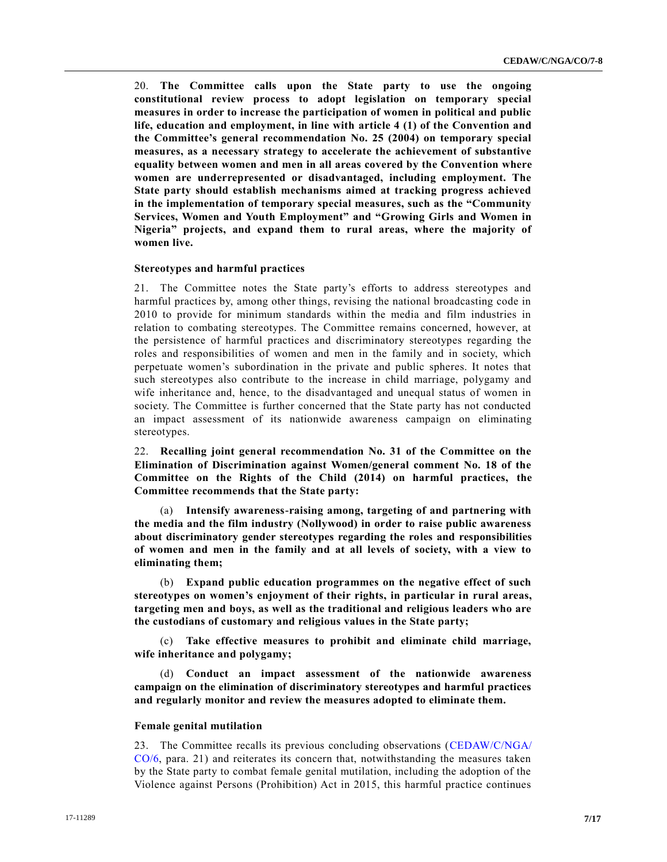20. **The Committee calls upon the State party to use the ongoing constitutional review process to adopt legislation on temporary special measures in order to increase the participation of women in political and public life, education and employment, in line with article 4 (1) of the Convention and the Committee's general recommendation No. 25 (2004) on temporary special measures, as a necessary strategy to accelerate the achievement of substantive equality between women and men in all areas covered by the Convention where women are underrepresented or disadvantaged, including employment. The State party should establish mechanisms aimed at tracking progress achieved in the implementation of temporary special measures, such as the "Community Services, Women and Youth Employment" and "Growing Girls and Women in Nigeria" projects, and expand them to rural areas, where the majority of women live.**

### **Stereotypes and harmful practices**

21. The Committee notes the State party's efforts to address stereotypes and harmful practices by, among other things, revising the national broadcasting code in 2010 to provide for minimum standards within the media and film industries in relation to combating stereotypes. The Committee remains concerned, however, at the persistence of harmful practices and discriminatory stereotypes regarding the roles and responsibilities of women and men in the family and in society, which perpetuate women's subordination in the private and public spheres. It notes that such stereotypes also contribute to the increase in child marriage, polygamy and wife inheritance and, hence, to the disadvantaged and unequal status of women in society. The Committee is further concerned that the State party has not conducted an impact assessment of its nationwide awareness campaign on eliminating stereotypes.

22. **Recalling joint general recommendation No. 31 of the Committee on the Elimination of Discrimination against Women/general comment No. 18 of the Committee on the Rights of the Child (2014) on harmful practices, the Committee recommends that the State party:** 

(a) **Intensify awareness-raising among, targeting of and partnering with the media and the film industry (Nollywood) in order to raise public awareness about discriminatory gender stereotypes regarding the roles and responsibilities of women and men in the family and at all levels of society, with a view to eliminating them;**

(b) **Expand public education programmes on the negative effect of such stereotypes on women's enjoyment of their rights, in particular in rural areas, targeting men and boys, as well as the traditional and religious leaders who are the custodians of customary and religious values in the State party;**

(c) **Take effective measures to prohibit and eliminate child marriage, wife inheritance and polygamy;**

(d) **Conduct an impact assessment of the nationwide awareness campaign on the elimination of discriminatory stereotypes and harmful practices and regularly monitor and review the measures adopted to eliminate them.**

#### **Female genital mutilation**

23. The Committee recalls its previous concluding observations [\(CEDAW/C/NGA/](https://undocs.org/CEDAW/C/NGA/CO/6) [CO/6,](https://undocs.org/CEDAW/C/NGA/CO/6) para. 21) and reiterates its concern that, notwithstanding the measures taken by the State party to combat female genital mutilation, including the adoption of the Violence against Persons (Prohibition) Act in 2015, this harmful practice continues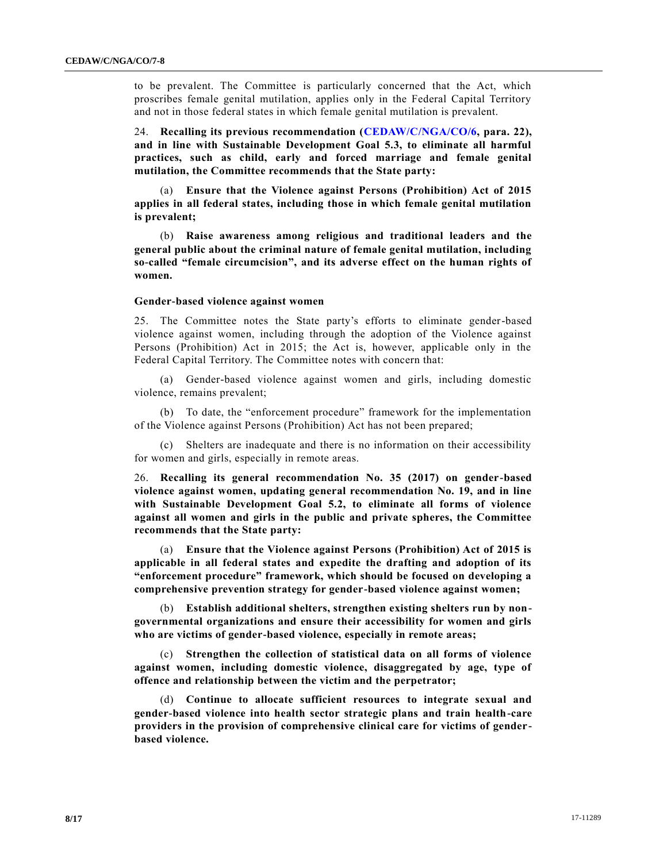to be prevalent. The Committee is particularly concerned that the Act, which proscribes female genital mutilation, applies only in the Federal Capital Territory and not in those federal states in which female genital mutilation is prevalent.

24. **Recalling its previous recommendation [\(CEDAW/C/NGA/CO/6,](https://undocs.org/CEDAW/C/NGA/CO/6) para. 22), and in line with Sustainable Development Goal 5.3, to eliminate all harmful practices, such as child, early and forced marriage and female genital mutilation, the Committee recommends that the State party:**

(a) **Ensure that the Violence against Persons (Prohibition) Act of 2015 applies in all federal states, including those in which female genital mutilation is prevalent;** 

(b) **Raise awareness among religious and traditional leaders and the general public about the criminal nature of female genital mutilation, including so-called "female circumcision", and its adverse effect on the human rights of women.**

#### **Gender-based violence against women**

25. The Committee notes the State party's efforts to eliminate gender-based violence against women, including through the adoption of the Violence against Persons (Prohibition) Act in 2015; the Act is, however, applicable only in the Federal Capital Territory. The Committee notes with concern that:

(a) Gender-based violence against women and girls, including domestic violence, remains prevalent;

(b) To date, the "enforcement procedure" framework for the implementation of the Violence against Persons (Prohibition) Act has not been prepared;

(c) Shelters are inadequate and there is no information on their accessibility for women and girls, especially in remote areas.

26. **Recalling its general recommendation No. 35 (2017) on gender-based violence against women, updating general recommendation No. 19, and in line with Sustainable Development Goal 5.2, to eliminate all forms of violence against all women and girls in the public and private spheres, the Committee recommends that the State party:**

(a) **Ensure that the Violence against Persons (Prohibition) Act of 2015 is applicable in all federal states and expedite the drafting and adoption of its "enforcement procedure" framework, which should be focused on developing a comprehensive prevention strategy for gender-based violence against women;**

(b) **Establish additional shelters, strengthen existing shelters run by nongovernmental organizations and ensure their accessibility for women and girls who are victims of gender-based violence, especially in remote areas;**

(c) **Strengthen the collection of statistical data on all forms of violence against women, including domestic violence, disaggregated by age, type of offence and relationship between the victim and the perpetrator;** 

(d) **Continue to allocate sufficient resources to integrate sexual and gender-based violence into health sector strategic plans and train health-care providers in the provision of comprehensive clinical care for victims of genderbased violence.**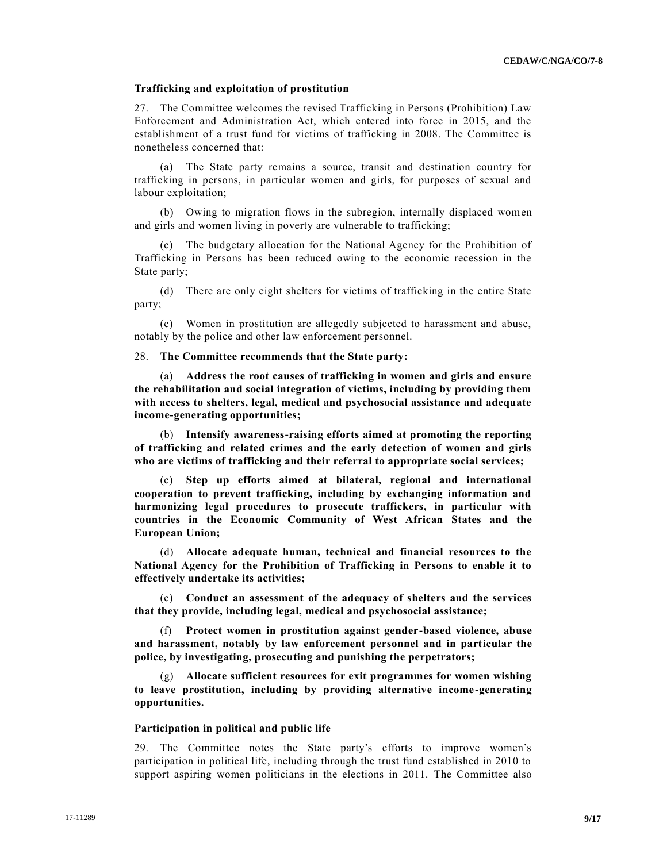### **Trafficking and exploitation of prostitution**

27. The Committee welcomes the revised Trafficking in Persons (Prohibition) Law Enforcement and Administration Act, which entered into force in 2015, and the establishment of a trust fund for victims of trafficking in 2008. The Committee is nonetheless concerned that:

(a) The State party remains a source, transit and destination country for trafficking in persons, in particular women and girls, for purposes of sexual and labour exploitation;

(b) Owing to migration flows in the subregion, internally displaced women and girls and women living in poverty are vulnerable to trafficking;

(c) The budgetary allocation for the National Agency for the Prohibition of Trafficking in Persons has been reduced owing to the economic recession in the State party;

(d) There are only eight shelters for victims of trafficking in the entire State party;

(e) Women in prostitution are allegedly subjected to harassment and abuse, notably by the police and other law enforcement personnel.

# 28. **The Committee recommends that the State party:**

(a) **Address the root causes of trafficking in women and girls and ensure the rehabilitation and social integration of victims, including by providing them with access to shelters, legal, medical and psychosocial assistance and adequate income-generating opportunities;**

(b) **Intensify awareness-raising efforts aimed at promoting the reporting of trafficking and related crimes and the early detection of women and girls who are victims of trafficking and their referral to appropriate social services;**

(c) **Step up efforts aimed at bilateral, regional and international cooperation to prevent trafficking, including by exchanging information and harmonizing legal procedures to prosecute traffickers, in particular with countries in the Economic Community of West African States and the European Union;**

(d) **Allocate adequate human, technical and financial resources to the National Agency for the Prohibition of Trafficking in Persons to enable it to effectively undertake its activities;**

(e) **Conduct an assessment of the adequacy of shelters and the services that they provide, including legal, medical and psychosocial assistance;**

(f) **Protect women in prostitution against gender-based violence, abuse and harassment, notably by law enforcement personnel and in particular the police, by investigating, prosecuting and punishing the perpetrators;**

(g) **Allocate sufficient resources for exit programmes for women wishing to leave prostitution, including by providing alternative income-generating opportunities.**

#### **Participation in political and public life**

29. The Committee notes the State party's efforts to improve women's participation in political life, including through the trust fund established in 2010 to support aspiring women politicians in the elections in 2011. The Committee also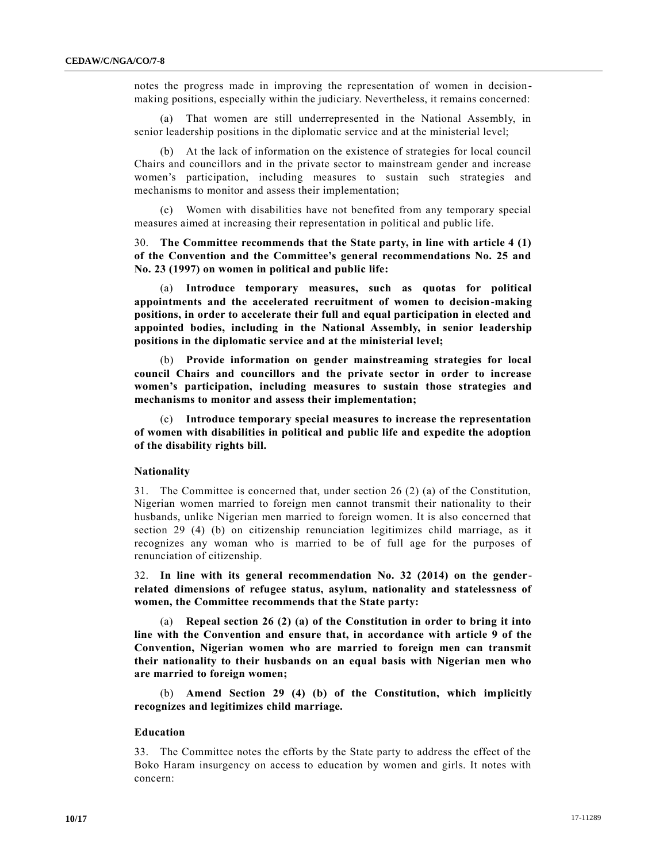notes the progress made in improving the representation of women in decisionmaking positions, especially within the judiciary. Nevertheless, it remains concerned:

(a) That women are still underrepresented in the National Assembly, in senior leadership positions in the diplomatic service and at the ministerial level;

(b) At the lack of information on the existence of strategies for local council Chairs and councillors and in the private sector to mainstream gender and increase women's participation, including measures to sustain such strategies and mechanisms to monitor and assess their implementation;

(c) Women with disabilities have not benefited from any temporary special measures aimed at increasing their representation in political and public life.

30. **The Committee recommends that the State party, in line with article 4 (1) of the Convention and the Committee's general recommendations No. 25 and No. 23 (1997) on women in political and public life:**

(a) **Introduce temporary measures, such as quotas for political appointments and the accelerated recruitment of women to decision-making positions, in order to accelerate their full and equal participation in elected and appointed bodies, including in the National Assembly, in senior leadership positions in the diplomatic service and at the ministerial level;**

(b) **Provide information on gender mainstreaming strategies for local council Chairs and councillors and the private sector in order to increase women's participation, including measures to sustain those strategies and mechanisms to monitor and assess their implementation;**

(c) **Introduce temporary special measures to increase the representation of women with disabilities in political and public life and expedite the adoption of the disability rights bill.**

# **Nationality**

31. The Committee is concerned that, under section 26 (2) (a) of the Constitution, Nigerian women married to foreign men cannot transmit their nationality to their husbands, unlike Nigerian men married to foreign women. It is also concerned that section 29 (4) (b) on citizenship renunciation legitimizes child marriage, as it recognizes any woman who is married to be of full age for the purposes of renunciation of citizenship.

32. **In line with its general recommendation No. 32 (2014) on the genderrelated dimensions of refugee status, asylum, nationality and statelessness of women, the Committee recommends that the State party:**

(a) **Repeal section 26 (2) (a) of the Constitution in order to bring it into line with the Convention and ensure that, in accordance with article 9 of the Convention, Nigerian women who are married to foreign men can transmit their nationality to their husbands on an equal basis with Nigerian men who are married to foreign women;**

(b) **Amend Section 29 (4) (b) of the Constitution, which implicitly recognizes and legitimizes child marriage.**

#### **Education**

33. The Committee notes the efforts by the State party to address the effect of the Boko Haram insurgency on access to education by women and girls. It notes with concern: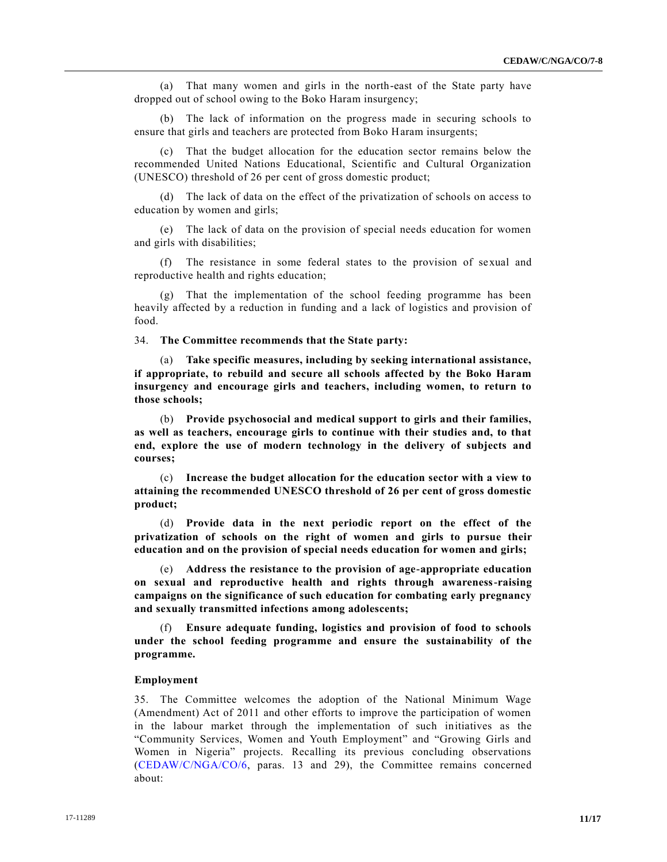(a) That many women and girls in the north-east of the State party have dropped out of school owing to the Boko Haram insurgency;

(b) The lack of information on the progress made in securing schools to ensure that girls and teachers are protected from Boko Haram insurgents;

(c) That the budget allocation for the education sector remains below the recommended United Nations Educational, Scientific and Cultural Organization (UNESCO) threshold of 26 per cent of gross domestic product;

(d) The lack of data on the effect of the privatization of schools on access to education by women and girls;

(e) The lack of data on the provision of special needs education for women and girls with disabilities;

(f) The resistance in some federal states to the provision of sexual and reproductive health and rights education;

That the implementation of the school feeding programme has been heavily affected by a reduction in funding and a lack of logistics and provision of food.

34. **The Committee recommends that the State party:**

(a) **Take specific measures, including by seeking international assistance, if appropriate, to rebuild and secure all schools affected by the Boko Haram insurgency and encourage girls and teachers, including women, to return to those schools;**

(b) **Provide psychosocial and medical support to girls and their families, as well as teachers, encourage girls to continue with their studies and, to that end, explore the use of modern technology in the delivery of subjects and courses;**

(c) **Increase the budget allocation for the education sector with a view to attaining the recommended UNESCO threshold of 26 per cent of gross domestic product;**

(d) **Provide data in the next periodic report on the effect of the privatization of schools on the right of women and girls to pursue their education and on the provision of special needs education for women and girls;**

(e) **Address the resistance to the provision of age-appropriate education on sexual and reproductive health and rights through awareness-raising campaigns on the significance of such education for combating early pregnancy and sexually transmitted infections among adolescents;**

(f) **Ensure adequate funding, logistics and provision of food to schools under the school feeding programme and ensure the sustainability of the programme.**

# **Employment**

35. The Committee welcomes the adoption of the National Minimum Wage (Amendment) Act of 2011 and other efforts to improve the participation of women in the labour market through the implementation of such initiatives as the "Community Services, Women and Youth Employment" and "Growing Girls and Women in Nigeria" projects. Recalling its previous concluding observations [\(CEDAW/C/NGA/CO/6,](https://undocs.org/CEDAW/C/NGA/CO/6) paras. 13 and 29), the Committee remains concerned about: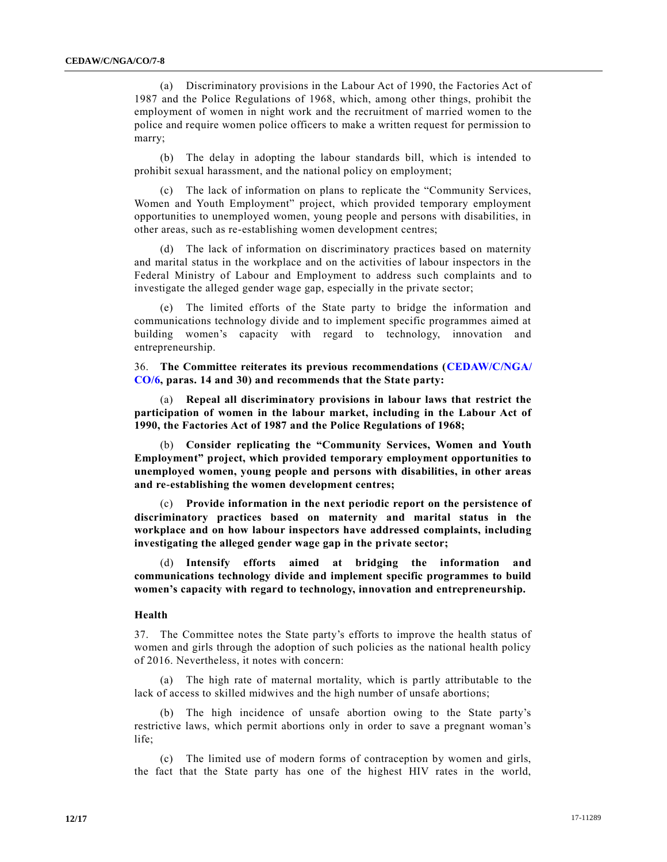(a) Discriminatory provisions in the Labour Act of 1990, the Factories Act of 1987 and the Police Regulations of 1968, which, among other things, prohibit the employment of women in night work and the recruitment of ma rried women to the police and require women police officers to make a written request for permission to marry;

The delay in adopting the labour standards bill, which is intended to prohibit sexual harassment, and the national policy on employment;

(c) The lack of information on plans to replicate the "Community Services, Women and Youth Employment" project, which provided temporary employment opportunities to unemployed women, young people and persons with disabilities, in other areas, such as re-establishing women development centres;

(d) The lack of information on discriminatory practices based on maternity and marital status in the workplace and on the activities of labour inspectors in the Federal Ministry of Labour and Employment to address such complaints and to investigate the alleged gender wage gap, especially in the private sector;

(e) The limited efforts of the State party to bridge the information and communications technology divide and to implement specific programmes aimed at building women's capacity with regard to technology, innovation and entrepreneurship.

36. **The Committee reiterates its previous recommendations [\(CEDAW/C/NGA/](https://undocs.org/CEDAW/C/NGA/CO/6) [CO/6,](https://undocs.org/CEDAW/C/NGA/CO/6) paras. 14 and 30) and recommends that the State party:**

(a) **Repeal all discriminatory provisions in labour laws that restrict the participation of women in the labour market, including in the Labour Act of 1990, the Factories Act of 1987 and the Police Regulations of 1968;**

(b) **Consider replicating the "Community Services, Women and Youth Employment" project, which provided temporary employment opportunities to unemployed women, young people and persons with disabilities, in other areas and re-establishing the women development centres;**

(c) **Provide information in the next periodic report on the persistence of discriminatory practices based on maternity and marital status in the workplace and on how labour inspectors have addressed complaints, including investigating the alleged gender wage gap in the private sector;**

(d) **Intensify efforts aimed at bridging the information and communications technology divide and implement specific programmes to build women's capacity with regard to technology, innovation and entrepreneurship.**

# **Health**

37. The Committee notes the State party's efforts to improve the health status of women and girls through the adoption of such policies as the national health policy of 2016. Nevertheless, it notes with concern:

(a) The high rate of maternal mortality, which is partly attributable to the lack of access to skilled midwives and the high number of unsafe abortions;

(b) The high incidence of unsafe abortion owing to the State party's restrictive laws, which permit abortions only in order to save a pregnant woman's life;

(c) The limited use of modern forms of contraception by women and girls, the fact that the State party has one of the highest HIV rates in the world,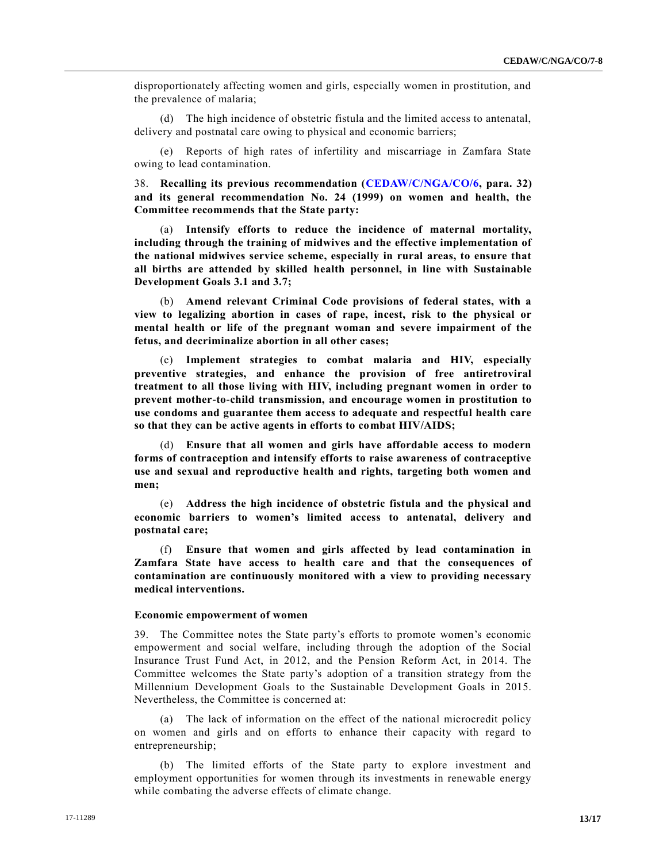disproportionately affecting women and girls, especially women in prostitution, and the prevalence of malaria;

(d) The high incidence of obstetric fistula and the limited access to antenatal, delivery and postnatal care owing to physical and economic barriers;

(e) Reports of high rates of infertility and miscarriage in Zamfara State owing to lead contamination.

38. **Recalling its previous recommendation [\(CEDAW/C/NGA/CO/6,](https://undocs.org/CEDAW/C/NGA/CO/6) para. 32) and its general recommendation No. 24 (1999) on women and health, the Committee recommends that the State party:**

(a) **Intensify efforts to reduce the incidence of maternal mortality, including through the training of midwives and the effective implementation of the national midwives service scheme, especially in rural areas, to ensure that all births are attended by skilled health personnel, in line with Sustainable Development Goals 3.1 and 3.7;**

(b) **Amend relevant Criminal Code provisions of federal states, with a view to legalizing abortion in cases of rape, incest, risk to the physical or mental health or life of the pregnant woman and severe impairment of the fetus, and decriminalize abortion in all other cases;**

(c) **Implement strategies to combat malaria and HIV, especially preventive strategies, and enhance the provision of free antiretroviral treatment to all those living with HIV, including pregnant women in order to prevent mother-to-child transmission, and encourage women in prostitution to use condoms and guarantee them access to adequate and respectful health care so that they can be active agents in efforts to combat HIV/AIDS;**

(d) **Ensure that all women and girls have affordable access to modern forms of contraception and intensify efforts to raise awareness of contraceptive use and sexual and reproductive health and rights, targeting both women and men;**

(e) **Address the high incidence of obstetric fistula and the physical and economic barriers to women's limited access to antenatal, delivery and postnatal care;** 

(f) **Ensure that women and girls affected by lead contamination in Zamfara State have access to health care and that the consequences of contamination are continuously monitored with a view to providing necessary medical interventions.**

#### **Economic empowerment of women**

39. The Committee notes the State party's efforts to promote women's economic empowerment and social welfare, including through the adoption of the Social Insurance Trust Fund Act, in 2012, and the Pension Reform Act, in 2014. The Committee welcomes the State party's adoption of a transition strategy from the Millennium Development Goals to the Sustainable Development Goals in 2015. Nevertheless, the Committee is concerned at:

(a) The lack of information on the effect of the national microcredit policy on women and girls and on efforts to enhance their capacity with regard to entrepreneurship;

(b) The limited efforts of the State party to explore investment and employment opportunities for women through its investments in renewable energy while combating the adverse effects of climate change.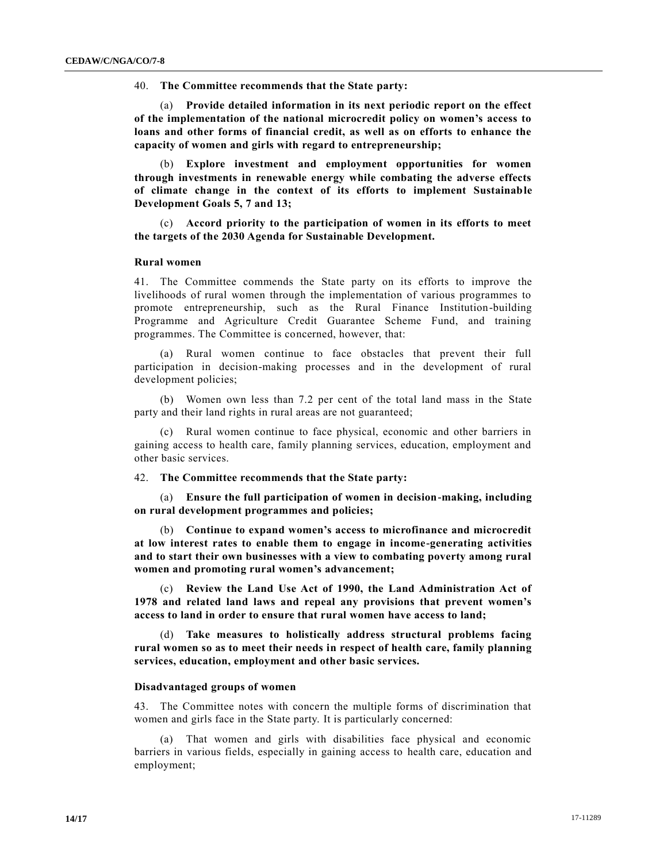40. **The Committee recommends that the State party:**

(a) **Provide detailed information in its next periodic report on the effect of the implementation of the national microcredit policy on women's access to loans and other forms of financial credit, as well as on efforts to enhance the capacity of women and girls with regard to entrepreneurship;** 

(b) **Explore investment and employment opportunities for women through investments in renewable energy while combating the adverse effects of climate change in the context of its efforts to implement Sustainable Development Goals 5, 7 and 13;**

(c) **Accord priority to the participation of women in its efforts to meet the targets of the 2030 Agenda for Sustainable Development.**

### **Rural women**

41. The Committee commends the State party on its efforts to improve the livelihoods of rural women through the implementation of various programmes to promote entrepreneurship, such as the Rural Finance Institution-building Programme and Agriculture Credit Guarantee Scheme Fund, and training programmes. The Committee is concerned, however, that:

(a) Rural women continue to face obstacles that prevent their full participation in decision-making processes and in the development of rural development policies;

(b) Women own less than 7.2 per cent of the total land mass in the State party and their land rights in rural areas are not guaranteed;

(c) Rural women continue to face physical, economic and other barriers in gaining access to health care, family planning services, education, employment and other basic services.

# 42. **The Committee recommends that the State party:**

(a) **Ensure the full participation of women in decision-making, including on rural development programmes and policies;**

(b) **Continue to expand women's access to microfinance and microcredit at low interest rates to enable them to engage in income-generating activities and to start their own businesses with a view to combating poverty among rural women and promoting rural women's advancement;**

(c) **Review the Land Use Act of 1990, the Land Administration Act of 1978 and related land laws and repeal any provisions that prevent women's access to land in order to ensure that rural women have access to land;**

(d) **Take measures to holistically address structural problems facing rural women so as to meet their needs in respect of health care, family planning services, education, employment and other basic services.**

#### **Disadvantaged groups of women**

43. The Committee notes with concern the multiple forms of discrimination that women and girls face in the State party. It is particularly concerned:

(a) That women and girls with disabilities face physical and economic barriers in various fields, especially in gaining access to health care, education and employment;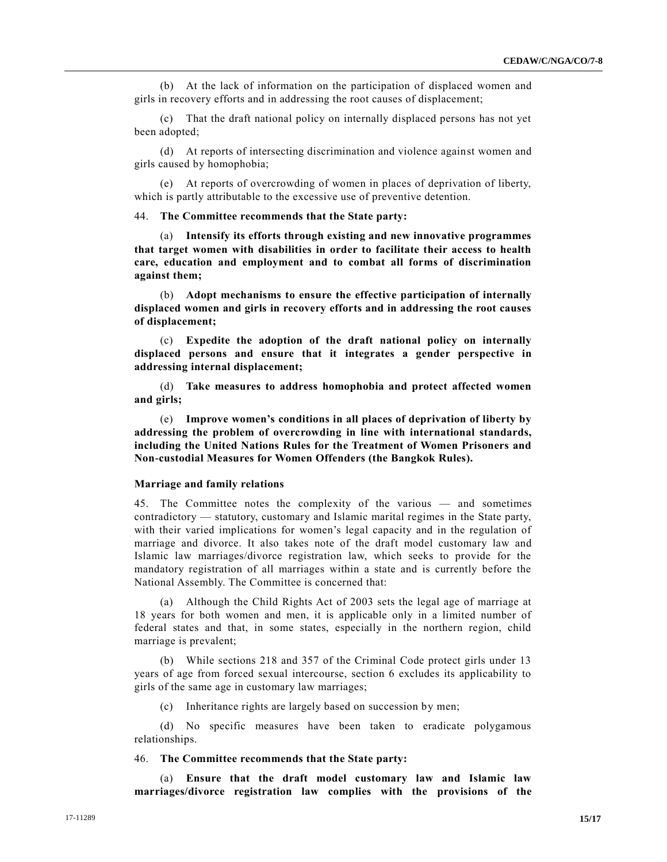(b) At the lack of information on the participation of displaced women and girls in recovery efforts and in addressing the root causes of displacement;

(c) That the draft national policy on internally displaced persons has not yet been adopted;

(d) At reports of intersecting discrimination and violence against women and girls caused by homophobia;

(e) At reports of overcrowding of women in places of deprivation of liberty, which is partly attributable to the excessive use of preventive detention.

44. **The Committee recommends that the State party:**

(a) **Intensify its efforts through existing and new innovative programmes that target women with disabilities in order to facilitate their access to health care, education and employment and to combat all forms of discrimination against them;**

(b) **Adopt mechanisms to ensure the effective participation of internally displaced women and girls in recovery efforts and in addressing the root causes of displacement;**

(c) **Expedite the adoption of the draft national policy on internally displaced persons and ensure that it integrates a gender perspective in addressing internal displacement;**

(d) **Take measures to address homophobia and protect affected women and girls;**

(e) **Improve women's conditions in all places of deprivation of liberty by addressing the problem of overcrowding in line with international standards, including the United Nations Rules for the Treatment of Women Prisoners and Non-custodial Measures for Women Offenders (the Bangkok Rules).** 

#### **Marriage and family relations**

45. The Committee notes the complexity of the various — and sometimes contradictory — statutory, customary and Islamic marital regimes in the State party, with their varied implications for women's legal capacity and in the regulation of marriage and divorce. It also takes note of the draft model customary law and Islamic law marriages/divorce registration law, which seeks to provide for the mandatory registration of all marriages within a state and is currently before the National Assembly. The Committee is concerned that:

(a) Although the Child Rights Act of 2003 sets the legal age of marriage at 18 years for both women and men, it is applicable only in a limited number of federal states and that, in some states, especially in the northern region, child marriage is prevalent;

(b) While sections 218 and 357 of the Criminal Code protect girls under 13 years of age from forced sexual intercourse, section 6 excludes its applicability to girls of the same age in customary law marriages;

(c) Inheritance rights are largely based on succession by men;

(d) No specific measures have been taken to eradicate polygamous relationships.

#### 46. **The Committee recommends that the State party:**

(a) **Ensure that the draft model customary law and Islamic law marriages/divorce registration law complies with the provisions of the**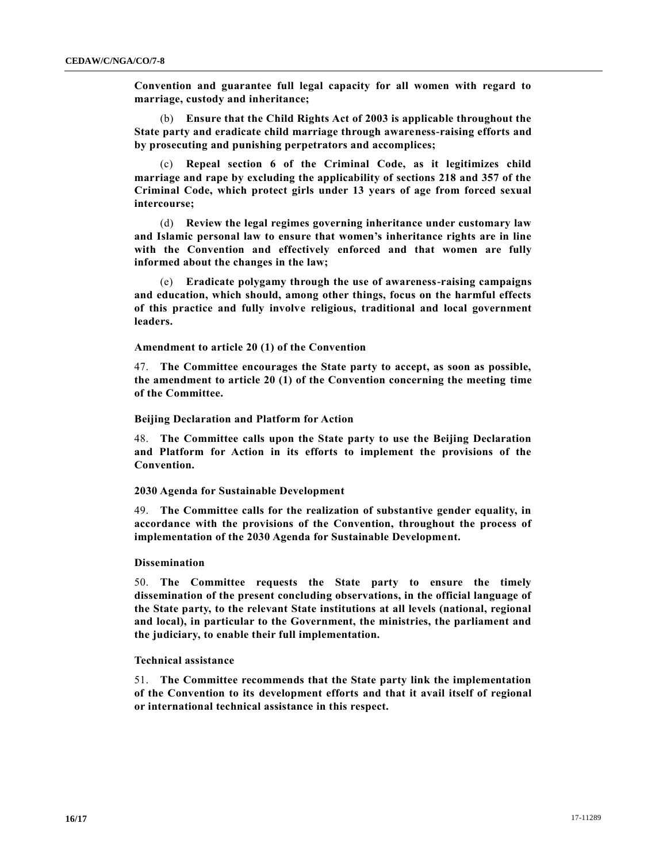**Convention and guarantee full legal capacity for all women with regard to marriage, custody and inheritance;**

(b) **Ensure that the Child Rights Act of 2003 is applicable throughout the State party and eradicate child marriage through awareness-raising efforts and by prosecuting and punishing perpetrators and accomplices;**

(c) **Repeal section 6 of the Criminal Code, as it legitimizes child marriage and rape by excluding the applicability of sections 218 and 357 of the Criminal Code, which protect girls under 13 years of age from forced sexual intercourse;**

(d) **Review the legal regimes governing inheritance under customary law and Islamic personal law to ensure that women's inheritance rights are in line with the Convention and effectively enforced and that women are fully informed about the changes in the law;**

(e) **Eradicate polygamy through the use of awareness-raising campaigns and education, which should, among other things, focus on the harmful effects of this practice and fully involve religious, traditional and local government leaders.**

**Amendment to article 20 (1) of the Convention** 

47. **The Committee encourages the State party to accept, as soon as possible, the amendment to article 20 (1) of the Convention concerning the meeting time of the Committee.**

**Beijing Declaration and Platform for Action** 

48. **The Committee calls upon the State party to use the Beijing Declaration and Platform for Action in its efforts to implement the provisions of the Convention.**

# **2030 Agenda for Sustainable Development**

49. **The Committee calls for the realization of substantive gender equality, in accordance with the provisions of the Convention, throughout the process of implementation of the 2030 Agenda for Sustainable Development.**

# **Dissemination**

50. **The Committee requests the State party to ensure the timely dissemination of the present concluding observations, in the official language of the State party, to the relevant State institutions at all levels (national, regional and local), in particular to the Government, the ministries, the parliament and the judiciary, to enable their full implementation.**

#### **Technical assistance**

51. **The Committee recommends that the State party link the implementation of the Convention to its development efforts and that it avail itself of regional or international technical assistance in this respect.**